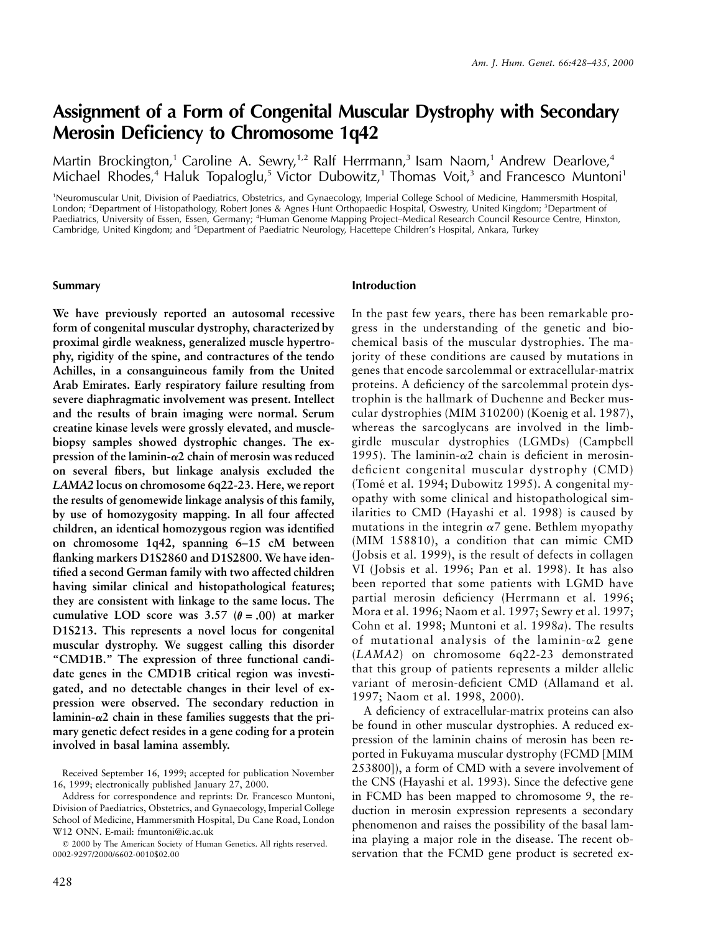# **Assignment of a Form of Congenital Muscular Dystrophy with Secondary Merosin Deficiency to Chromosome 1q42**

Martin Brockington,<sup>1</sup> Caroline A. Sewry,<sup>1,2</sup> Ralf Herrmann,<sup>3</sup> Isam Naom,<sup>1</sup> Andrew Dearlove,<sup>4</sup> Michael Rhodes,<sup>4</sup> Haluk Topaloglu,<sup>5</sup> Victor Dubowitz,<sup>1</sup> Thomas Voit,<sup>3</sup> and Francesco Muntoni<sup>1</sup>

1 Neuromuscular Unit, Division of Paediatrics, Obstetrics, and Gynaecology, Imperial College School of Medicine, Hammersmith Hospital, London; <sup>2</sup> Department of Histopathology, Robert Jones & Agnes Hunt Orthopaedic Hospital, Oswestry, United Kingdom; <sup>3</sup> Department of Paediatrics, University of Essen, Essen, Germany; <sup>4</sup>Human Genome Mapping Project–Medical Research Council Resource Centre, Hinxton, Cambridge, United Kingdom; and <sup>5</sup>Department of Paediatric Neurology, Hacettepe Children's Hospital, Ankara, Turkey

#### **Summary**

**We have previously reported an autosomal recessive form of congenital muscular dystrophy, characterized by proximal girdle weakness, generalized muscle hypertrophy, rigidity of the spine, and contractures of the tendo Achilles, in a consanguineous family from the United Arab Emirates. Early respiratory failure resulting from severe diaphragmatic involvement was present. Intellect and the results of brain imaging were normal. Serum creatine kinase levels were grossly elevated, and musclebiopsy samples showed dystrophic changes. The expression of the laminin-**a**2 chain of merosin was reduced on several fibers, but linkage analysis excluded the** *LAMA2* **locus on chromosome 6q22-23. Here, we report the results of genomewide linkage analysis of this family, by use of homozygosity mapping. In all four affected children, an identical homozygous region was identified on chromosome 1q42, spanning 6–15 cM between flanking markers D1S2860 and D1S2800. We have identified a second German family with two affected children having similar clinical and histopathological features; they are consistent with linkage to the same locus. The** cumulative LOD score was  $3.57$  ( $\theta = .00$ ) at marker **D1S213. This represents a novel locus for congenital muscular dystrophy. We suggest calling this disorder "CMD1B." The expression of three functional candidate genes in the CMD1B critical region was investigated, and no detectable changes in their level of expression were observed. The secondary reduction in laminin-**a**2 chain in these families suggests that the primary genetic defect resides in a gene coding for a protein involved in basal lamina assembly.**

## **Introduction**

In the past few years, there has been remarkable progress in the understanding of the genetic and biochemical basis of the muscular dystrophies. The majority of these conditions are caused by mutations in genes that encode sarcolemmal or extracellular-matrix proteins. A deficiency of the sarcolemmal protein dystrophin is the hallmark of Duchenne and Becker muscular dystrophies (MIM 310200) (Koenig et al. 1987), whereas the sarcoglycans are involved in the limbgirdle muscular dystrophies (LGMDs) (Campbell 1995). The laminin- $\alpha$ 2 chain is deficient in merosindeficient congenital muscular dystrophy (CMD) (Tomé et al. 1994; Dubowitz 1995). A congenital myopathy with some clinical and histopathological similarities to CMD (Hayashi et al. 1998) is caused by mutations in the integrin  $\alpha$ 7 gene. Bethlem myopathy (MIM 158810), a condition that can mimic CMD (Jobsis et al. 1999), is the result of defects in collagen VI (Jobsis et al. 1996; Pan et al. 1998). It has also been reported that some patients with LGMD have partial merosin deficiency (Herrmann et al. 1996; Mora et al. 1996; Naom et al. 1997; Sewry et al. 1997; Cohn et al. 1998; Muntoni et al. 1998*a*). The results of mutational analysis of the laminin- $\alpha$ 2 gene (*LAMA2*) on chromosome 6q22-23 demonstrated that this group of patients represents a milder allelic variant of merosin-deficient CMD (Allamand et al. 1997; Naom et al. 1998, 2000).

A deficiency of extracellular-matrix proteins can also be found in other muscular dystrophies. A reduced expression of the laminin chains of merosin has been reported in Fukuyama muscular dystrophy (FCMD [MIM 253800]), a form of CMD with a severe involvement of the CNS (Hayashi et al. 1993). Since the defective gene in FCMD has been mapped to chromosome 9, the reduction in merosin expression represents a secondary phenomenon and raises the possibility of the basal lamina playing a major role in the disease. The recent observation that the FCMD gene product is secreted ex-

Received September 16, 1999; accepted for publication November 16, 1999; electronically published January 27, 2000.

Address for correspondence and reprints: Dr. Francesco Muntoni, Division of Paediatrics, Obstetrics, and Gynaecology, Imperial College School of Medicine, Hammersmith Hospital, Du Cane Road, London W12 ONN. E-mail: fmuntoni@ic.ac.uk

2000 by The American Society of Human Genetics. All rights reserved. 0002-9297/2000/6602-0010\$02.00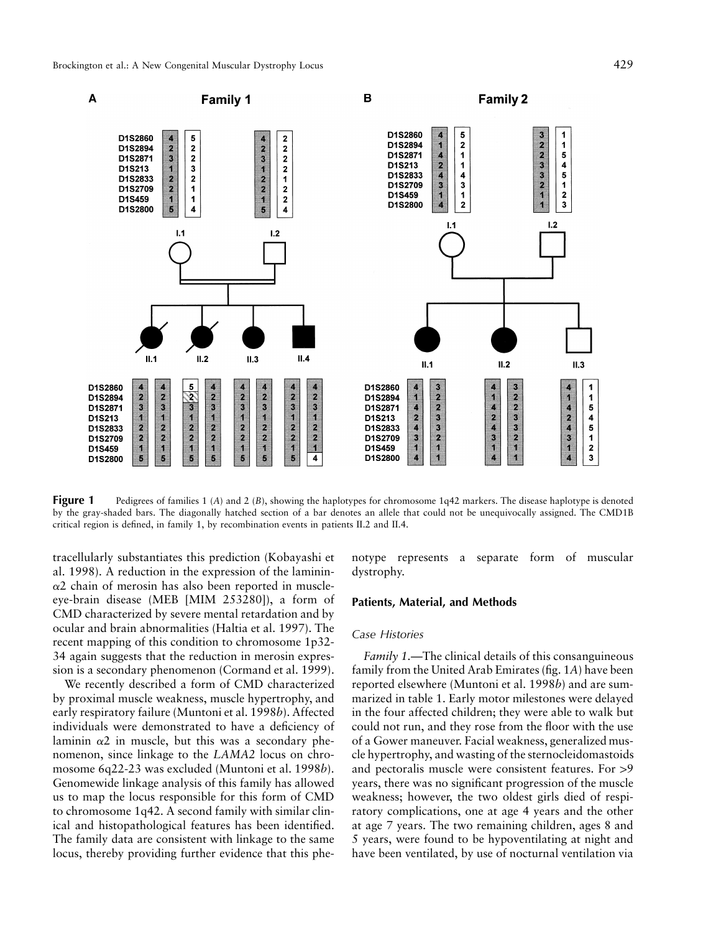

**Figure 1** Pedigrees of families 1 (A) and 2 (B), showing the haplotypes for chromosome 1q42 markers. The disease haplotype is denoted by the gray-shaded bars. The diagonally hatched section of a bar denotes an allele that could not be unequivocally assigned. The CMD1B critical region is defined, in family 1, by recombination events in patients II.2 and II.4.

tracellularly substantiates this prediction (Kobayashi et al. 1998). A reduction in the expression of the laminin- $\alpha$ 2 chain of merosin has also been reported in muscleeye-brain disease (MEB [MIM 253280]), a form of CMD characterized by severe mental retardation and by ocular and brain abnormalities (Haltia et al. 1997). The recent mapping of this condition to chromosome 1p32- 34 again suggests that the reduction in merosin expression is a secondary phenomenon (Cormand et al. 1999).

We recently described a form of CMD characterized by proximal muscle weakness, muscle hypertrophy, and early respiratory failure (Muntoni et al. 1998*b*). Affected individuals were demonstrated to have a deficiency of laminin  $\alpha$ 2 in muscle, but this was a secondary phenomenon, since linkage to the *LAMA2* locus on chromosome 6q22-23 was excluded (Muntoni et al. 1998*b*). Genomewide linkage analysis of this family has allowed us to map the locus responsible for this form of CMD to chromosome 1q42. A second family with similar clinical and histopathological features has been identified. The family data are consistent with linkage to the same locus, thereby providing further evidence that this phenotype represents a separate form of muscular dystrophy.

#### **Patients, Material, and Methods**

#### *Case Histories*

*Family 1.*—The clinical details of this consanguineous family from the United Arab Emirates (fig. 1*A*) have been reported elsewhere (Muntoni et al. 1998*b*) and are summarized in table 1. Early motor milestones were delayed in the four affected children; they were able to walk but could not run, and they rose from the floor with the use of a Gower maneuver. Facial weakness, generalized muscle hypertrophy, and wasting of the sternocleidomastoids and pectoralis muscle were consistent features. For  $>9$ years, there was no significant progression of the muscle weakness; however, the two oldest girls died of respiratory complications, one at age 4 years and the other at age 7 years. The two remaining children, ages 8 and 5 years, were found to be hypoventilating at night and have been ventilated, by use of nocturnal ventilation via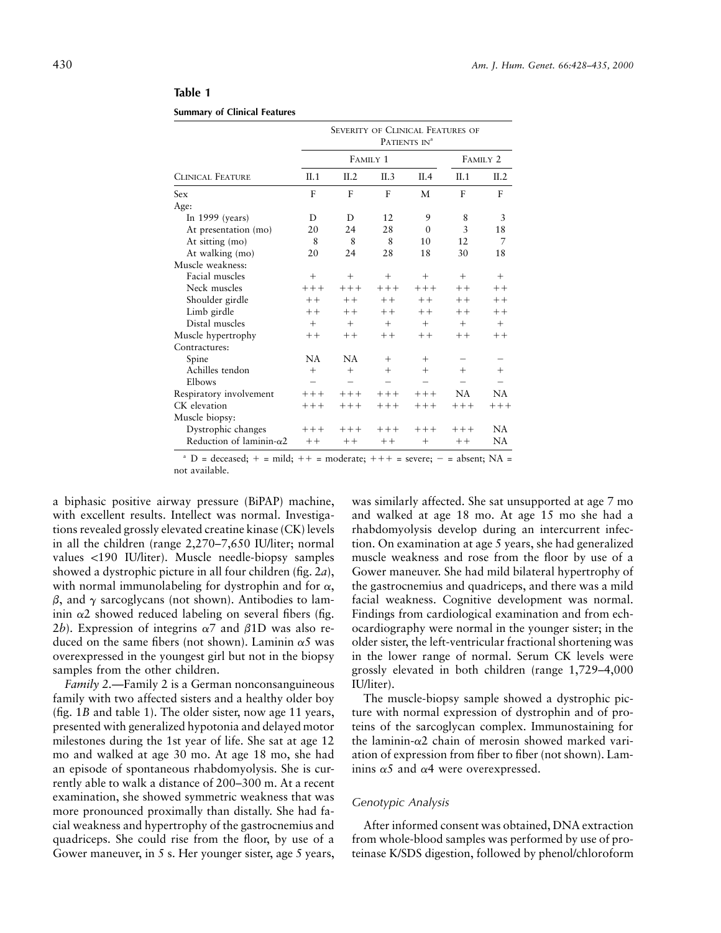|                                  | <b>SEVERITY OF CLINICAL FEATURES OF</b><br>PATIENTS IN <sup>a</sup> |           |                     |          |           |        |  |  |
|----------------------------------|---------------------------------------------------------------------|-----------|---------------------|----------|-----------|--------|--|--|
|                                  |                                                                     | FAMILY 1  | FAMILY <sub>2</sub> |          |           |        |  |  |
| <b>CLINICAL FEATURE</b>          | II.1                                                                | II.2      | II.3                | II.4     | II.1      | II.2   |  |  |
| Sex                              | F                                                                   | F         | F                   | М        | F         | F      |  |  |
| Age:                             |                                                                     |           |                     |          |           |        |  |  |
| In $1999$ (years)                | D                                                                   | D         | 12                  | 9        | 8         | 3      |  |  |
| At presentation (mo)             | 20                                                                  | 24        | 28                  | $\theta$ | 3         | 18     |  |  |
| At sitting (mo)                  | 8                                                                   | 8         | 8                   | 10       | 12        | 7      |  |  |
| At walking (mo)                  | 20                                                                  | 24        | 28                  | 18       | 30        | 18     |  |  |
| Muscle weakness:                 |                                                                     |           |                     |          |           |        |  |  |
| Facial muscles                   | $^{+}$                                                              | $^{+}$    | $^{+}$              | $^{+}$   | $^{+}$    | $+$    |  |  |
| Neck muscles                     | $+++$                                                               | $+++$     | $++++$              | $+++$    | $++$      | $++$   |  |  |
| Shoulder girdle                  | $+ +$                                                               | $+ +$     | $++$                | $++$     | $++$      | $++$   |  |  |
| Limb girdle                      | $++$                                                                | $++$      | $++$                | $++$     | $++$      | $++$   |  |  |
| Distal muscles                   | $^{+}$                                                              | $+$       | $+$                 | $+$      | $+$       | $^{+}$ |  |  |
| Muscle hypertrophy               | $++$                                                                | $++$      | $++$                | $++$     | $++$      | $++$   |  |  |
| Contractures:                    |                                                                     |           |                     |          |           |        |  |  |
| Spine                            | <b>NA</b>                                                           | <b>NA</b> | $^{+}$              | $^{+}$   |           |        |  |  |
| Achilles tendon                  | $^{+}$                                                              | $^{+}$    | $^{+}$              | $^{+}$   | $^{+}$    | $^+$   |  |  |
| Elbows                           |                                                                     |           |                     |          |           |        |  |  |
| Respiratory involvement          | $+++$                                                               | $+++$     | $++++$              | $+++$    | <b>NA</b> | NA     |  |  |
| CK elevation                     | $+++$                                                               | $+++$     | $+++$               | $+++$    | $+++$     | $+++$  |  |  |
| Muscle biopsy:                   |                                                                     |           |                     |          |           |        |  |  |
| Dystrophic changes               | $+++$                                                               | $++++$    | $+++$               | $++++$   | $+++$     | NA.    |  |  |
| Reduction of laminin- $\alpha$ 2 | $++$                                                                | $++$      | $++$                | $^+$     | $++$      | NA     |  |  |

# **Table 1**

**Summary of Clinical Features**

 $^{\circ}$  D = deceased; + = mild; ++ = moderate; +++ = severe; - = absent; NA = not available.

a biphasic positive airway pressure (BiPAP) machine, with excellent results. Intellect was normal. Investigations revealed grossly elevated creatine kinase (CK) levels in all the children (range 2,270–7,650 IU/liter; normal values <190 IU/liter). Muscle needle-biopsy samples showed a dystrophic picture in all four children (fig. 2*a*), with normal immunolabeling for dystrophin and for  $\alpha$ ,  $\beta$ , and  $\gamma$  sarcoglycans (not shown). Antibodies to laminin  $\alpha$ 2 showed reduced labeling on several fibers (fig. 2*b*). Expression of integrins  $\alpha$ 7 and  $\beta$ 1D was also reduced on the same fibers (not shown). Laminin  $\alpha$ 5 was overexpressed in the youngest girl but not in the biopsy samples from the other children.

*Family 2.—*Family 2 is a German nonconsanguineous family with two affected sisters and a healthy older boy (fig. 1*B* and table 1). The older sister, now age 11 years, presented with generalized hypotonia and delayed motor milestones during the 1st year of life. She sat at age 12 mo and walked at age 30 mo. At age 18 mo, she had an episode of spontaneous rhabdomyolysis. She is currently able to walk a distance of 200–300 m. At a recent examination, she showed symmetric weakness that was more pronounced proximally than distally. She had facial weakness and hypertrophy of the gastrocnemius and quadriceps. She could rise from the floor, by use of a Gower maneuver, in 5 s. Her younger sister, age 5 years,

was similarly affected. She sat unsupported at age 7 mo and walked at age 18 mo. At age 15 mo she had a rhabdomyolysis develop during an intercurrent infection. On examination at age 5 years, she had generalized muscle weakness and rose from the floor by use of a Gower maneuver. She had mild bilateral hypertrophy of the gastrocnemius and quadriceps, and there was a mild facial weakness. Cognitive development was normal. Findings from cardiological examination and from echocardiography were normal in the younger sister; in the older sister, the left-ventricular fractional shortening was in the lower range of normal. Serum CK levels were grossly elevated in both children (range 1,729–4,000 IU/liter).

The muscle-biopsy sample showed a dystrophic picture with normal expression of dystrophin and of proteins of the sarcoglycan complex. Immunostaining for the laminin- $\alpha$ 2 chain of merosin showed marked variation of expression from fiber to fiber (not shown). Laminins  $\alpha$ 5 and  $\alpha$ 4 were overexpressed.

## *Genotypic Analysis*

After informed consent was obtained, DNA extraction from whole-blood samples was performed by use of proteinase K/SDS digestion, followed by phenol/chloroform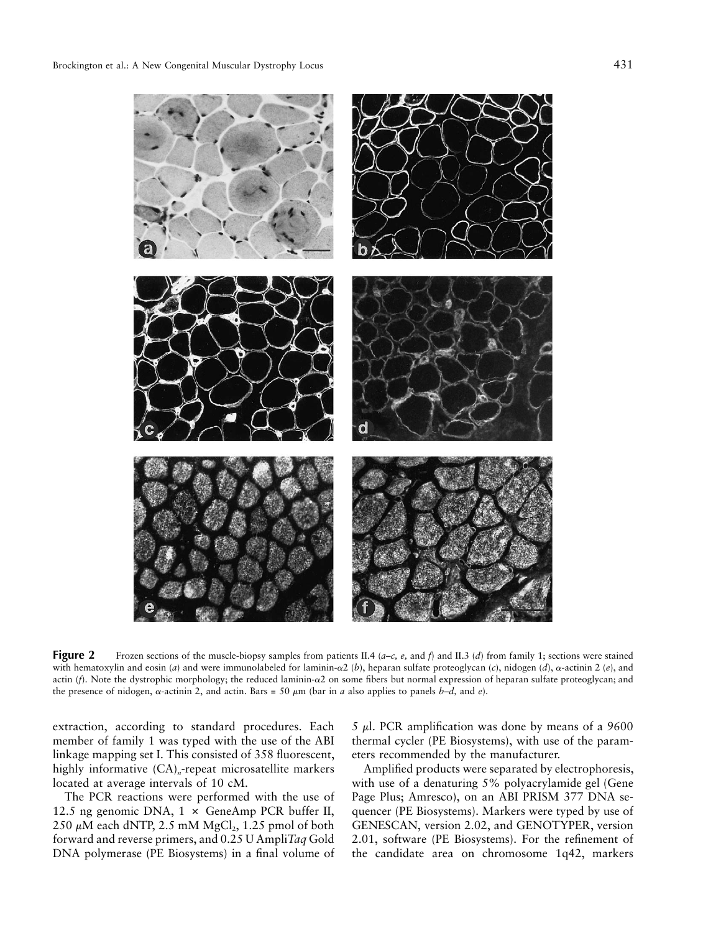

**Figure 2** Frozen sections of the muscle-biopsy samples from patients II.4 (*a–c, e*, and *f*) and II.3 (*d*) from family 1; sections were stained with hematoxylin and eosin (*a*) and were immunolabeled for laminin- $\alpha$ 2 (*b*), heparan sulfate proteoglycan (*c*), nidogen (*d*),  $\alpha$ -actinin 2 (*e*), and actin (*f*). Note the dystrophic morphology; the reduced laminin- $\alpha$ 2 on some fibers but normal expression of heparan sulfate proteoglycan; and the presence of nidogen,  $\alpha$ -actinin 2, and actin. Bars = 50  $\mu$ m (bar in *a* also applies to panels *b–d*, and *e*).

extraction, according to standard procedures. Each member of family 1 was typed with the use of the ABI linkage mapping set I. This consisted of 358 fluorescent, highly informative  $(CA)<sub>n</sub>$ -repeat microsatellite markers located at average intervals of 10 cM.

The PCR reactions were performed with the use of 12.5 ng genomic DNA,  $1 \times$  GeneAmp PCR buffer II,  $250 \mu M$  each dNTP,  $2.5 \text{ mM MgCl}_2$ ,  $1.25 \text{ pmol of both}$ forward and reverse primers, and 0.25 U Ampli*Taq* Gold DNA polymerase (PE Biosystems) in a final volume of

5  $\mu$ l. PCR amplification was done by means of a 9600 thermal cycler (PE Biosystems), with use of the parameters recommended by the manufacturer.

Amplified products were separated by electrophoresis, with use of a denaturing 5% polyacrylamide gel (Gene Page Plus; Amresco), on an ABI PRISM 377 DNA sequencer (PE Biosystems). Markers were typed by use of GENESCAN, version 2.02, and GENOTYPER, version 2.01, software (PE Biosystems). For the refinement of the candidate area on chromosome 1q42, markers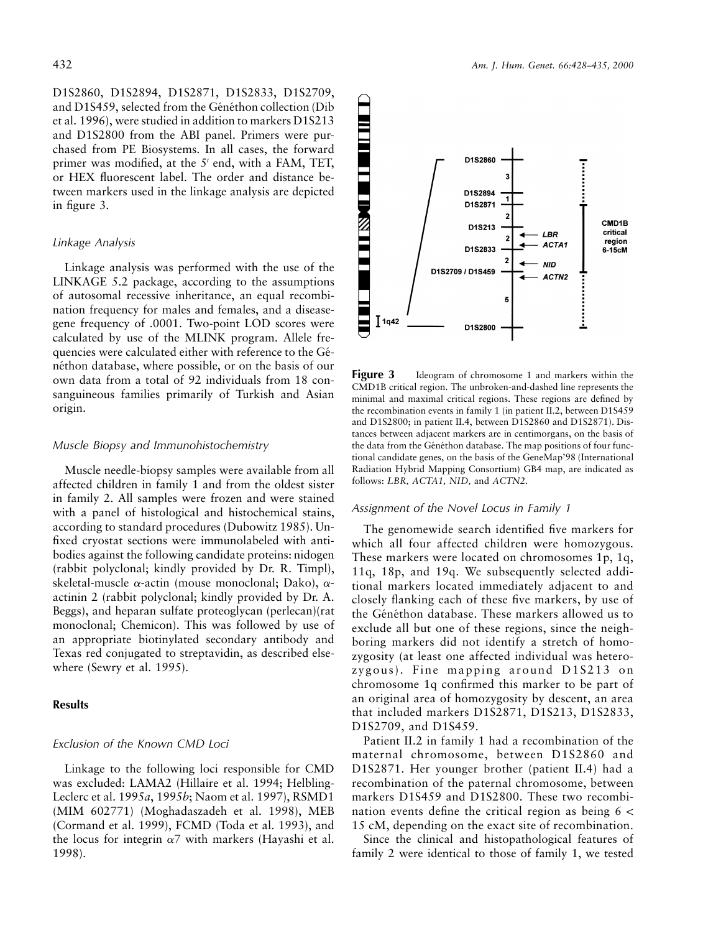D1S2860, D1S2894, D1S2871, D1S2833, D1S2709, and D1S459, selected from the Généthon collection (Dib et al. 1996), were studied in addition to markers D1S213 and D1S2800 from the ABI panel. Primers were purchased from PE Biosystems. In all cases, the forward primer was modified, at the  $5'$  end, with a FAM, TET, or HEX fluorescent label. The order and distance between markers used in the linkage analysis are depicted in figure 3.

#### *Linkage Analysis*

Linkage analysis was performed with the use of the LINKAGE 5.2 package, according to the assumptions of autosomal recessive inheritance, an equal recombination frequency for males and females, and a diseasegene frequency of .0001. Two-point LOD scores were calculated by use of the MLINK program. Allele frequencies were calculated either with reference to the Généthon database, where possible, or on the basis of our own data from a total of 92 individuals from 18 consanguineous families primarily of Turkish and Asian origin.

## *Muscle Biopsy and Immunohistochemistry*

Muscle needle-biopsy samples were available from all affected children in family 1 and from the oldest sister in family 2. All samples were frozen and were stained with a panel of histological and histochemical stains, according to standard procedures (Dubowitz 1985). Unfixed cryostat sections were immunolabeled with antibodies against the following candidate proteins: nidogen (rabbit polyclonal; kindly provided by Dr. R. Timpl), skeletal-muscle  $\alpha$ -actin (mouse monoclonal; Dako),  $\alpha$ actinin 2 (rabbit polyclonal; kindly provided by Dr. A. Beggs), and heparan sulfate proteoglycan (perlecan)(rat monoclonal; Chemicon). This was followed by use of an appropriate biotinylated secondary antibody and Texas red conjugated to streptavidin, as described elsewhere (Sewry et al. 1995).

#### **Results**

## *Exclusion of the Known CMD Loci*

Linkage to the following loci responsible for CMD was excluded: LAMA2 (Hillaire et al. 1994; Helbling-Leclerc et al. 1995*a*, 1995*b*; Naom et al. 1997), RSMD1 (MIM 602771) (Moghadaszadeh et al. 1998), MEB (Cormand et al. 1999), FCMD (Toda et al. 1993), and the locus for integrin  $\alpha$ 7 with markers (Hayashi et al. 1998).



**Figure 3** Ideogram of chromosome 1 and markers within the CMD1B critical region. The unbroken-and-dashed line represents the minimal and maximal critical regions. These regions are defined by the recombination events in family 1 (in patient II.2, between D1S459 and D1S2800; in patient II.4, between D1S2860 and D1S2871). Distances between adjacent markers are in centimorgans, on the basis of the data from the Généthon database. The map positions of four functional candidate genes, on the basis of the GeneMap'98 (International Radiation Hybrid Mapping Consortium) GB4 map, are indicated as follows: *LBR, ACTA1, NID,* and *ACTN2*.

#### *Assignment of the Novel Locus in Family 1*

The genomewide search identified five markers for which all four affected children were homozygous. These markers were located on chromosomes 1p, 1q, 11q, 18p, and 19q. We subsequently selected additional markers located immediately adjacent to and closely flanking each of these five markers, by use of the Généthon database. These markers allowed us to exclude all but one of these regions, since the neighboring markers did not identify a stretch of homozygosity (at least one affected individual was heterozygous). Fine mapping around D1S213 on chromosome 1q confirmed this marker to be part of an original area of homozygosity by descent, an area that included markers D1S2871, D1S213, D1S2833, D1S2709, and D1S459.

Patient II.2 in family 1 had a recombination of the maternal chromosome, between D1S2860 and D1S2871. Her younger brother (patient II.4) had a recombination of the paternal chromosome, between markers D1S459 and D1S2800. These two recombination events define the critical region as being  $6 <$ 15 cM, depending on the exact site of recombination.

Since the clinical and histopathological features of family 2 were identical to those of family 1, we tested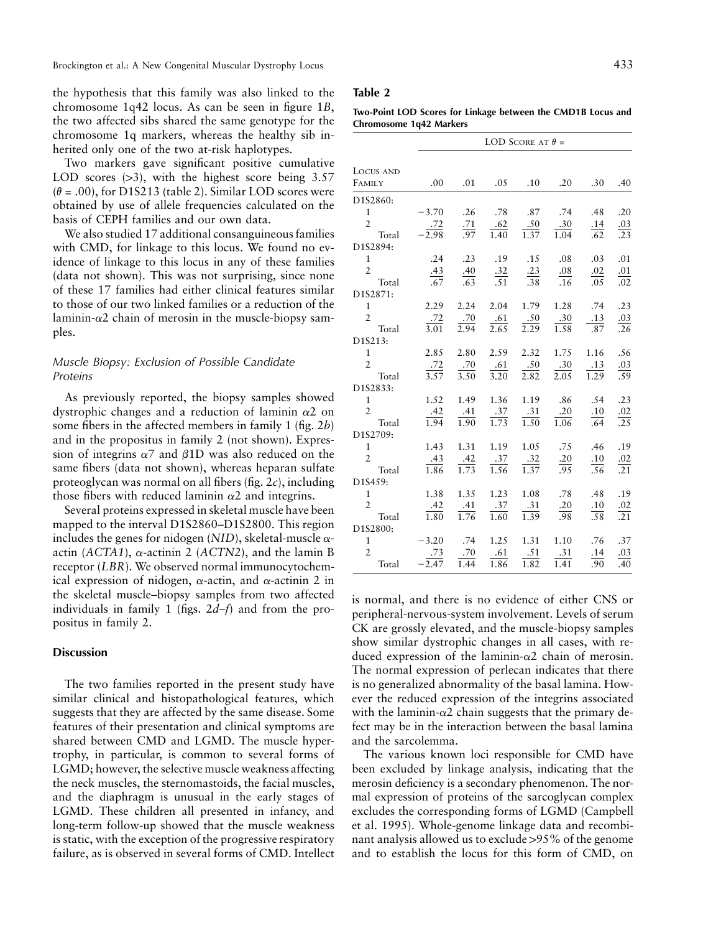the hypothesis that this family was also linked to the chromosome 1q42 locus. As can be seen in figure 1*B*, the two affected sibs shared the same genotype for the chromosome 1q markers, whereas the healthy sib inherited only one of the two at-risk haplotypes.

Two markers gave significant positive cumulative LOD scores  $(>3)$ , with the highest score being 3.57  $(\theta = .00)$ , for D1S213 (table 2). Similar LOD scores were obtained by use of allele frequencies calculated on the basis of CEPH families and our own data.

We also studied 17 additional consanguineous families with CMD, for linkage to this locus. We found no evidence of linkage to this locus in any of these families (data not shown). This was not surprising, since none of these 17 families had either clinical features similar to those of our two linked families or a reduction of the laminin- $\alpha$ 2 chain of merosin in the muscle-biopsy samples.

# *Muscle Biopsy: Exclusion of Possible Candidate Proteins*

As previously reported, the biopsy samples showed dystrophic changes and a reduction of laminin  $\alpha$ 2 on some fibers in the affected members in family 1 (fig. 2*b*) and in the propositus in family 2 (not shown). Expression of integrins  $\alpha$ 7 and  $\beta$ 1D was also reduced on the same fibers (data not shown), whereas heparan sulfate proteoglycan was normal on all fibers (fig. 2*c*), including those fibers with reduced laminin  $\alpha$ 2 and integrins.

Several proteins expressed in skeletal muscle have been mapped to the interval D1S2860–D1S2800. This region includes the genes for nidogen  $(NID)$ , skeletal-muscle  $\alpha$ actin ( $ACTA1$ ),  $\alpha$ -actinin 2 ( $ACTN2$ ), and the lamin B receptor (*LBR*). We observed normal immunocytochemical expression of nidogen,  $\alpha$ -actin, and  $\alpha$ -actinin 2 in the skeletal muscle–biopsy samples from two affected individuals in family 1 (figs. 2*d–f*) and from the propositus in family 2.

# **Discussion**

The two families reported in the present study have similar clinical and histopathological features, which suggests that they are affected by the same disease. Some features of their presentation and clinical symptoms are shared between CMD and LGMD. The muscle hypertrophy, in particular, is common to several forms of LGMD; however, the selective muscle weakness affecting the neck muscles, the sternomastoids, the facial muscles, and the diaphragm is unusual in the early stages of LGMD. These children all presented in infancy, and long-term follow-up showed that the muscle weakness is static, with the exception of the progressive respiratory failure, as is observed in several forms of CMD. Intellect

# **Table 2**

**Two-Point LOD Scores for Linkage between the CMD1B Locus and Chromosome 1q42 Markers**

|                                | LOD SCORE AT $\theta$ = |                    |                                                            |                                                                         |                    |                    |                   |  |  |
|--------------------------------|-------------------------|--------------------|------------------------------------------------------------|-------------------------------------------------------------------------|--------------------|--------------------|-------------------|--|--|
| LOCUS AND                      |                         |                    |                                                            |                                                                         |                    |                    |                   |  |  |
| FAMILY                         | $.00\,$                 |                    |                                                            | $.01 \t .05 \t .10$                                                     | $.20\,$            | .30                | .40               |  |  |
| D1S2860:                       |                         |                    |                                                            |                                                                         |                    |                    |                   |  |  |
| $\mathbf{1}$                   | $-3.70$                 |                    |                                                            | .26 .78 .87 .74                                                         |                    | .48                | .20               |  |  |
| $\overline{2}$                 | $\frac{.72}{-.98}$      | $\frac{.71}{.97}$  | $\frac{.62}{1.40}$                                         | .50                                                                     | .30                | $\frac{.14}{.62}$  | $\frac{.03}{.23}$ |  |  |
| Total                          |                         |                    |                                                            | $\overline{1.37}$                                                       | 1.04               |                    |                   |  |  |
| D1S2894:                       |                         |                    |                                                            |                                                                         |                    |                    |                   |  |  |
| $\mathbf{1}$                   |                         |                    |                                                            | .24 .23 .19 .15 .08                                                     |                    | .03                | .01               |  |  |
| $\overline{2}$                 | $\frac{.43}{.67}$       |                    |                                                            | $\frac{.40}{.63}$ $\frac{.32}{.51}$ $\frac{.23}{.38}$ $\frac{.08}{.16}$ |                    | $\frac{.02}{.05}$  | $\frac{.01}{.02}$ |  |  |
| Total                          |                         |                    |                                                            |                                                                         |                    |                    |                   |  |  |
| D1S2871:                       |                         |                    |                                                            |                                                                         |                    |                    |                   |  |  |
| $\mathbf{1}$                   | 2.29                    |                    | $2.24$ $2.04$                                              | 1.79                                                                    | 1.28               | .74                | .23               |  |  |
| $\overline{2}$                 | $\frac{.72}{3.01}$      | .70<br>2.94        | .61                                                        | .50                                                                     | $\frac{.30}{1.58}$ | $\frac{.13}{.87}$  | $\frac{.03}{.26}$ |  |  |
| Total                          |                         |                    | 2.65                                                       | 2.29                                                                    |                    |                    |                   |  |  |
| D1S213:                        |                         |                    |                                                            |                                                                         |                    |                    |                   |  |  |
| $\mathbf{1}$<br>$\overline{2}$ | 2.85                    |                    |                                                            | 2.80 2.59 2.32                                                          |                    | 1.75 1.16          | .56               |  |  |
| Total                          | $\frac{.72}{3.57}$      |                    | $\frac{.70}{3.50}$ $\frac{.61}{3.20}$<br>$\overline{3.20}$ | .50<br>2.82                                                             | .30<br>2.05        | $\frac{.13}{1.29}$ | $\frac{.03}{.59}$ |  |  |
| D1S2833:                       |                         |                    |                                                            |                                                                         |                    |                    |                   |  |  |
| $\mathbf{1}$                   | 1.52                    | 1.49               | 1.36                                                       |                                                                         | 1.19 .86 .54       |                    | .23               |  |  |
| $\overline{2}$                 | .42                     |                    | .37                                                        | .31                                                                     | .20                |                    |                   |  |  |
| Total                          | $\frac{1.1}{1.94}$      | $\frac{.41}{1.90}$ | $\frac{1}{1.73}$                                           | $\frac{1}{1.50}$                                                        | 1.06               | $\frac{.10}{.64}$  | $\frac{.02}{.25}$ |  |  |
| D1S2709:                       |                         |                    |                                                            |                                                                         |                    |                    |                   |  |  |
| $\mathbf{1}$                   | 1.43                    | 1.31               | 1.19                                                       |                                                                         | 1.05 .75           | .46                | .19               |  |  |
| $\overline{2}$                 |                         |                    | .37                                                        |                                                                         | .20                |                    |                   |  |  |
| Total                          | $\frac{.43}{1.86}$      | $\frac{.42}{1.73}$ | 1.56                                                       | $\frac{.32}{1.37}$                                                      | $\overline{.95}$   | $\frac{.10}{.56}$  | $\frac{.02}{.21}$ |  |  |
| D1S459:                        |                         |                    |                                                            |                                                                         |                    |                    |                   |  |  |
| $\mathbf{1}$                   | 1.38                    | 1.35               | 1.23                                                       | 1.08                                                                    | .78                | .48                | .19               |  |  |
| $\overline{2}$                 | .42                     | $\frac{.41}{1.76}$ | .37                                                        | .31                                                                     | .20                | $\frac{.10}{.58}$  | $\frac{.02}{.21}$ |  |  |
| Total                          | $\overline{1.80}$       |                    | 1.60                                                       | 1.39                                                                    | .98                |                    |                   |  |  |
| D1S2800:                       |                         |                    |                                                            |                                                                         |                    |                    |                   |  |  |
| $\mathbf{1}$                   | $-3.20$                 | .74                | 1.25                                                       | 1.31                                                                    | 1.10               | .76                | .37               |  |  |
| $\overline{2}$                 | $\frac{.73}{-.47}$      | .70                | .61                                                        | .51                                                                     | .31                | .14                | $\frac{.03}{.40}$ |  |  |
| Total                          |                         | 1.44               | 1.86                                                       | 1.82                                                                    | 1.41               | .90                |                   |  |  |

is normal, and there is no evidence of either CNS or peripheral-nervous-system involvement. Levels of serum CK are grossly elevated, and the muscle-biopsy samples show similar dystrophic changes in all cases, with reduced expression of the laminin- $\alpha$ 2 chain of merosin. The normal expression of perlecan indicates that there is no generalized abnormality of the basal lamina. However the reduced expression of the integrins associated with the laminin- $\alpha$ 2 chain suggests that the primary defect may be in the interaction between the basal lamina and the sarcolemma.

The various known loci responsible for CMD have been excluded by linkage analysis, indicating that the merosin deficiency is a secondary phenomenon. The normal expression of proteins of the sarcoglycan complex excludes the corresponding forms of LGMD (Campbell et al. 1995). Whole-genome linkage data and recombinant analysis allowed us to exclude >95% of the genome and to establish the locus for this form of CMD, on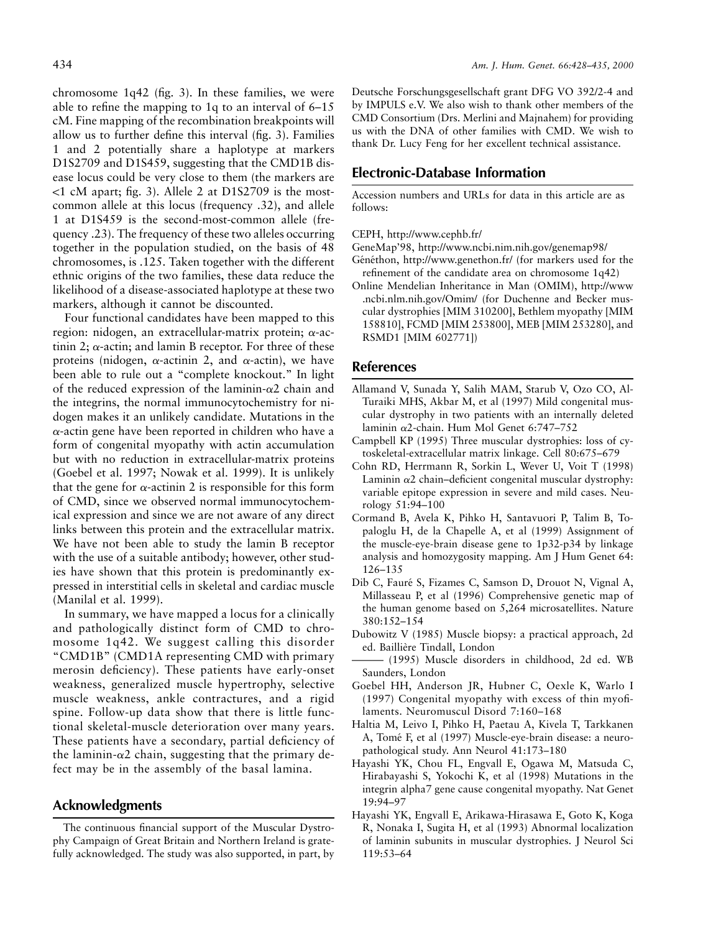chromosome 1q42 (fig. 3). In these families, we were able to refine the mapping to 1q to an interval of 6–15 cM. Fine mapping of the recombination breakpoints will allow us to further define this interval (fig. 3). Families 1 and 2 potentially share a haplotype at markers D1S2709 and D1S459, suggesting that the CMD1B disease locus could be very close to them (the markers are  $1$  cM apart; fig. 3). Allele 2 at D1S2709 is the mostcommon allele at this locus (frequency .32), and allele 1 at D1S459 is the second-most-common allele (frequency .23). The frequency of these two alleles occurring together in the population studied, on the basis of 48 chromosomes, is .125. Taken together with the different ethnic origins of the two families, these data reduce the likelihood of a disease-associated haplotype at these two markers, although it cannot be discounted.

Four functional candidates have been mapped to this region: nidogen, an extracellular-matrix protein; a-actinin 2;  $\alpha$ -actin; and lamin B receptor. For three of these proteins (nidogen,  $\alpha$ -actinin 2, and  $\alpha$ -actin), we have been able to rule out a "complete knockout." In light of the reduced expression of the laminin- $\alpha$ 2 chain and the integrins, the normal immunocytochemistry for nidogen makes it an unlikely candidate. Mutations in the  $\alpha$ -actin gene have been reported in children who have a form of congenital myopathy with actin accumulation but with no reduction in extracellular-matrix proteins (Goebel et al. 1997; Nowak et al. 1999). It is unlikely that the gene for  $\alpha$ -actinin 2 is responsible for this form of CMD, since we observed normal immunocytochemical expression and since we are not aware of any direct links between this protein and the extracellular matrix. We have not been able to study the lamin B receptor with the use of a suitable antibody; however, other studies have shown that this protein is predominantly expressed in interstitial cells in skeletal and cardiac muscle (Manilal et al. 1999).

In summary, we have mapped a locus for a clinically and pathologically distinct form of CMD to chromosome 1q42. We suggest calling this disorder "CMD1B" (CMD1A representing CMD with primary merosin deficiency). These patients have early-onset weakness, generalized muscle hypertrophy, selective muscle weakness, ankle contractures, and a rigid spine. Follow-up data show that there is little functional skeletal-muscle deterioration over many years. These patients have a secondary, partial deficiency of the laminin- $\alpha$ 2 chain, suggesting that the primary defect may be in the assembly of the basal lamina.

# **Acknowledgments**

The continuous financial support of the Muscular Dystrophy Campaign of Great Britain and Northern Ireland is gratefully acknowledged. The study was also supported, in part, by

Deutsche Forschungsgesellschaft grant DFG VO 392/2-4 and by IMPULS e.V. We also wish to thank other members of the CMD Consortium (Drs. Merlini and Majnahem) for providing us with the DNA of other families with CMD. We wish to thank Dr. Lucy Feng for her excellent technical assistance.

## **Electronic-Database Information**

Accession numbers and URLs for data in this article are as follows:

#### CEPH, http://www.cephb.fr/

- GeneMap'98, http://www.ncbi.nim.nih.gov/genemap98/ Généthon, http://www.genethon.fr/ (for markers used for the refinement of the candidate area on chromosome 1q42)
- Online Mendelian Inheritance in Man (OMIM), http://www .ncbi.nlm.nih.gov/Omim/ (for Duchenne and Becker muscular dystrophies [MIM 310200], Bethlem myopathy [MIM 158810], FCMD [MIM 253800], MEB [MIM 253280], and RSMD1 [MIM 602771])

## **References**

- Allamand V, Sunada Y, Salih MAM, Starub V, Ozo CO, Al-Turaiki MHS, Akbar M, et al (1997) Mild congenital muscular dystrophy in two patients with an internally deleted laminin a2-chain. Hum Mol Genet 6:747–752
- Campbell KP (1995) Three muscular dystrophies: loss of cytoskeletal-extracellular matrix linkage. Cell 80:675–679
- Cohn RD, Herrmann R, Sorkin L, Wever U, Voit T (1998) Laminin  $\alpha$ 2 chain-deficient congenital muscular dystrophy: variable epitope expression in severe and mild cases. Neurology 51:94–100
- Cormand B, Avela K, Pihko H, Santavuori P, Talim B, Topaloglu H, de la Chapelle A, et al (1999) Assignment of the muscle-eye-brain disease gene to 1p32-p34 by linkage analysis and homozygosity mapping. Am J Hum Genet 64: 126–135
- Dib C, Fauré S, Fizames C, Samson D, Drouot N, Vignal A, Millasseau P, et al (1996) Comprehensive genetic map of the human genome based on 5,264 microsatellites. Nature 380:152–154
- Dubowitz V (1985) Muscle biopsy: a practical approach, 2d ed. Baillière Tindall, London
- (1995) Muscle disorders in childhood, 2d ed. WB Saunders, London
- Goebel HH, Anderson JR, Hubner C, Oexle K, Warlo I (1997) Congenital myopathy with excess of thin myofilaments. Neuromuscul Disord 7:160–168
- Haltia M, Leivo I, Pihko H, Paetau A, Kivela T, Tarkkanen A, Tomé F, et al (1997) Muscle-eye-brain disease: a neuropathological study. Ann Neurol 41:173–180
- Hayashi YK, Chou FL, Engvall E, Ogawa M, Matsuda C, Hirabayashi S, Yokochi K, et al (1998) Mutations in the integrin alpha7 gene cause congenital myopathy. Nat Genet 19:94–97
- Hayashi YK, Engvall E, Arikawa-Hirasawa E, Goto K, Koga R, Nonaka I, Sugita H, et al (1993) Abnormal localization of laminin subunits in muscular dystrophies. J Neurol Sci 119:53–64